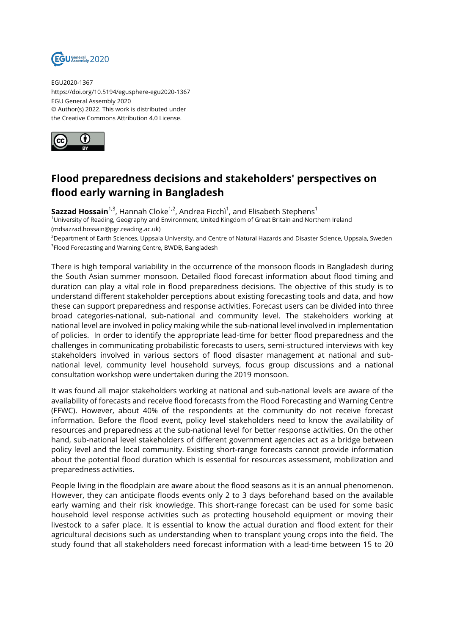

EGU2020-1367 https://doi.org/10.5194/egusphere-egu2020-1367 EGU General Assembly 2020 © Author(s) 2022. This work is distributed under the Creative Commons Attribution 4.0 License.



## **Flood preparedness decisions and stakeholders' perspectives on flood early warning in Bangladesh**

**Sazzad Hossain**<sup>1,3</sup>, Hannah Cloke<sup>1,2</sup>, Andrea Ficchì<sup>1</sup>, and Elisabeth Stephens<sup>1</sup>

<sup>1</sup>University of Reading, Geography and Environment, United Kingdom of Great Britain and Northern Ireland

(mdsazzad.hossain@pgr.reading.ac.uk)

<sup>2</sup>Department of Earth Sciences, Uppsala University, and Centre of Natural Hazards and Disaster Science, Uppsala, Sweden  $^3$ Flood Forecasting and Warning Centre, BWDB, Bangladesh

There is high temporal variability in the occurrence of the monsoon floods in Bangladesh during the South Asian summer monsoon. Detailed flood forecast information about flood timing and duration can play a vital role in flood preparedness decisions. The objective of this study is to understand different stakeholder perceptions about existing forecasting tools and data, and how these can support preparedness and response activities. Forecast users can be divided into three broad categories-national, sub-national and community level. The stakeholders working at national level are involved in policy making while the sub-national level involved in implementation of policies. In order to identify the appropriate lead-time for better flood preparedness and the challenges in communicating probabilistic forecasts to users, semi-structured interviews with key stakeholders involved in various sectors of flood disaster management at national and subnational level, community level household surveys, focus group discussions and a national consultation workshop were undertaken during the 2019 monsoon.

It was found all major stakeholders working at national and sub-national levels are aware of the availability of forecasts and receive flood forecasts from the Flood Forecasting and Warning Centre (FFWC). However, about 40% of the respondents at the community do not receive forecast information. Before the flood event, policy level stakeholders need to know the availability of resources and preparedness at the sub-national level for better response activities. On the other hand, sub-national level stakeholders of different government agencies act as a bridge between policy level and the local community. Existing short-range forecasts cannot provide information about the potential flood duration which is essential for resources assessment, mobilization and preparedness activities.

People living in the floodplain are aware about the flood seasons as it is an annual phenomenon. However, they can anticipate floods events only 2 to 3 days beforehand based on the available early warning and their risk knowledge. This short-range forecast can be used for some basic household level response activities such as protecting household equipment or moving their livestock to a safer place. It is essential to know the actual duration and flood extent for their agricultural decisions such as understanding when to transplant young crops into the field. The study found that all stakeholders need forecast information with a lead-time between 15 to 20